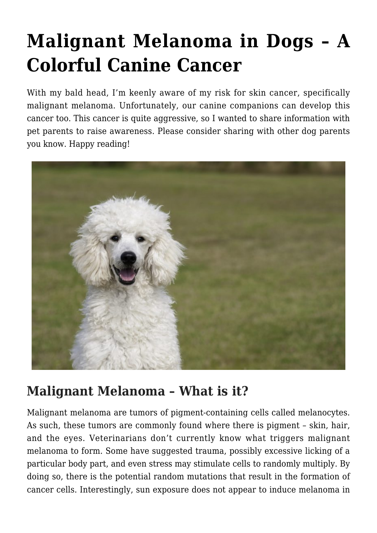# **[Malignant Melanoma in Dogs – A](https://criticalcaredvm.com/malignant-melanoma-dogs-cancer/) [Colorful Canine Cancer](https://criticalcaredvm.com/malignant-melanoma-dogs-cancer/)**

With my bald head, I'm keenly aware of my risk for skin cancer, specifically malignant melanoma. Unfortunately, our canine companions can develop this cancer too. This cancer is quite aggressive, so I wanted to share information with pet parents to raise awareness. Please consider sharing with other dog parents you know. Happy reading!



#### **Malignant Melanoma – What is it?**

Malignant melanoma are tumors of pigment-containing cells called melanocytes. As such, these tumors are commonly found where there is pigment – skin, hair, and the eyes. Veterinarians don't currently know what triggers malignant melanoma to form. Some have suggested trauma, possibly excessive licking of a particular body part, and even stress may stimulate cells to randomly multiply. By doing so, there is the potential random mutations that result in the formation of cancer cells. Interestingly, sun exposure does not appear to induce melanoma in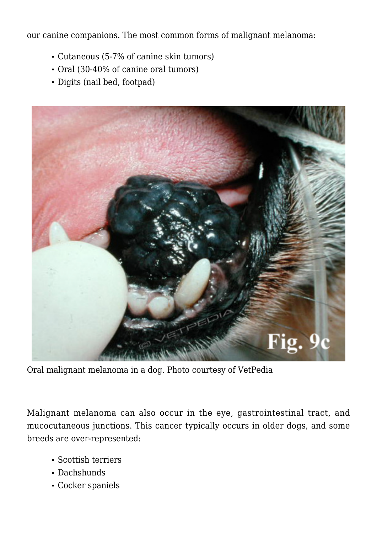our canine companions. The most common forms of malignant melanoma:

- Cutaneous (5-7% of canine skin tumors)
- Oral (30-40% of canine oral tumors)
- Digits (nail bed, footpad)



Oral malignant melanoma in a dog. Photo courtesy of [VetPedia](http://www.vetpedia.net/siteen/content/tumours-oral-cavity)

Malignant melanoma can also occur in the eye, gastrointestinal tract, and mucocutaneous junctions. This cancer typically occurs in older dogs, and some breeds are over-represented:

- Scottish terriers
- Dachshunds
- Cocker spaniels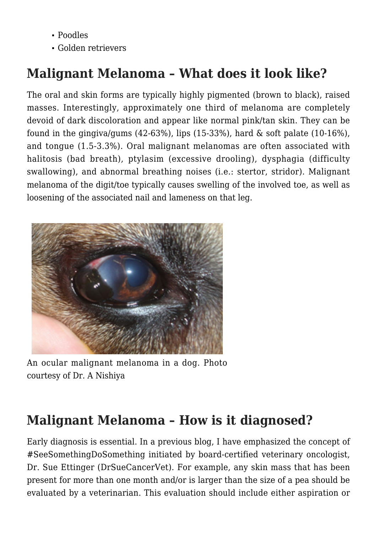- Poodles
- Golden retrievers

# **Malignant Melanoma – What does it look like?**

The oral and skin forms are typically highly pigmented (brown to black), raised masses. Interestingly, approximately one third of melanoma are completely devoid of dark discoloration and appear like normal pink/tan skin. They can be found in the gingiva/gums  $(42-63)$ , lips  $(15-33)$ , hard & soft palate  $(10-16)$ , and tongue (1.5-3.3%). Oral malignant melanomas are often associated with halitosis (bad breath), ptylasim (excessive drooling), dysphagia (difficulty swallowing), and abnormal breathing noises (i.e.: stertor, stridor). Malignant melanoma of the digit/toe typically causes swelling of the involved toe, as well as loosening of the associated nail and lameness on that leg.



An ocular malignant melanoma in a dog. Photo courtesy of Dr. A Nishiya

# **Malignant Melanoma – How is it diagnosed?**

Early diagnosis is essential. In a previous [blog](http://criticalcaredvm.com/dont-ignore-skin-lumps/), I have emphasized the concept of #SeeSomethingDoSomething initiated by board-certified veterinary oncologist, Dr. Sue Ettinger ([DrSueCancerVet](https://drsuecancervet.com/)). For example, any skin mass that has been present for more than one month and/or is larger than the size of a pea should be evaluated by a veterinarian. This evaluation should include either aspiration or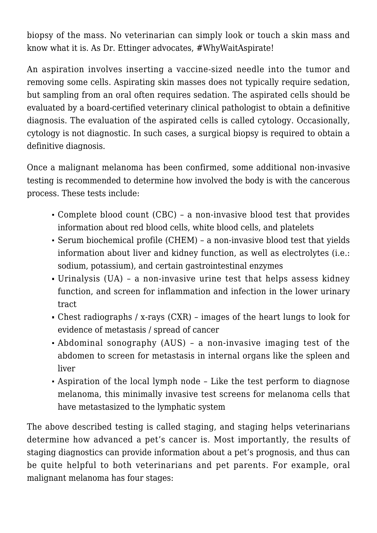biopsy of the mass. No veterinarian can simply look or touch a skin mass and know what it is. As Dr. Ettinger advocates, #WhyWaitAspirate!

An aspiration involves inserting a vaccine-sized needle into the tumor and removing some cells. Aspirating skin masses does not typically require sedation, but sampling from an oral often requires sedation. The aspirated cells should be evaluated by a board-certified veterinary clinical pathologist to obtain a definitive diagnosis. The evaluation of the aspirated cells is called cytology. Occasionally, cytology is not diagnostic. In such cases, a surgical biopsy is required to obtain a definitive diagnosis.

Once a malignant melanoma has been confirmed, some additional non-invasive testing is recommended to determine how involved the body is with the cancerous process. These tests include:

- Complete blood count (CBC) a non-invasive blood test that provides information about red blood cells, white blood cells, and platelets
- Serum biochemical profile (CHEM) a non-invasive blood test that yields information about liver and kidney function, as well as electrolytes (i.e.: sodium, potassium), and certain gastrointestinal enzymes
- Urinalysis (UA) a non-invasive urine test that helps assess kidney function, and screen for inflammation and infection in the lower urinary tract
- Chest radiographs / x-rays (CXR) images of the heart lungs to look for evidence of metastasis / spread of cancer
- [Abdominal sonography \(AUS\)](http://criticalcaredvm.com/ultrasonography-dogs-cats/) a non-invasive imaging test of the abdomen to screen for metastasis in internal organs like the spleen and liver
- Aspiration of the local lymph node Like the test perform to diagnose melanoma, this minimally invasive test screens for melanoma cells that have metastasized to the lymphatic system

The above described testing is called staging, and staging helps veterinarians determine how advanced a pet's cancer is. Most importantly, the results of staging diagnostics can provide information about a pet's prognosis, and thus can be quite helpful to both veterinarians and pet parents. For example, oral malignant melanoma has four stages: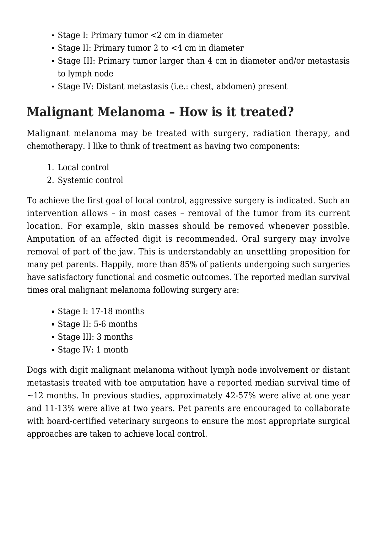- Stage I: Primary tumor <2 cm in diameter
- Stage II: Primary tumor 2 to <4 cm in diameter
- Stage III: Primary tumor larger than 4 cm in diameter and/or metastasis to lymph node
- Stage IV: Distant metastasis (i.e.: chest, abdomen) present

# **Malignant Melanoma – How is it treated?**

Malignant melanoma may be treated with surgery, radiation therapy, and chemotherapy. I like to think of treatment as having two components:

- 1. Local control
- 2. Systemic control

To achieve the first goal of local control, aggressive surgery is indicated. Such an intervention allows – in most cases – removal of the tumor from its current location. For example, skin masses should be removed whenever possible. Amputation of an affected digit is recommended. Oral surgery may involve removal of part of the jaw. This is understandably an unsettling proposition for many pet parents. Happily, more than 85% of patients undergoing such surgeries have satisfactory functional and cosmetic outcomes. The reported median survival times oral malignant melanoma following surgery are:

- Stage I: 17-18 months
- Stage II: 5-6 months
- Stage III: 3 months
- Stage IV: 1 month

Dogs with digit malignant melanoma without lymph node involvement or distant metastasis treated with toe amputation have a reported median survival time of  $\sim$ 12 months. In previous studies, approximately 42-57% were alive at one year and 11-13% were alive at two years. Pet parents are encouraged to collaborate with board-certified veterinary surgeons to ensure the most appropriate surgical approaches are taken to achieve local control.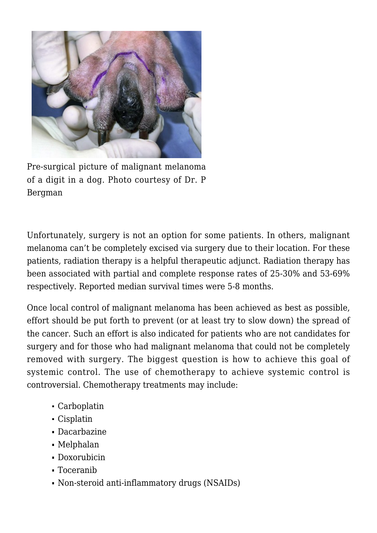

Pre-surgical picture of malignant melanoma of a digit in a dog. Photo courtesy of Dr. P Bergman

Unfortunately, surgery is not an option for some patients. In others, malignant melanoma can't be completely excised via surgery due to their location. For these patients, radiation therapy is a helpful therapeutic adjunct. Radiation therapy has been associated with partial and complete response rates of 25-30% and 53-69% respectively. Reported median survival times were 5-8 months.

Once local control of malignant melanoma has been achieved as best as possible, effort should be put forth to prevent (or at least try to slow down) the spread of the cancer. Such an effort is also indicated for patients who are not candidates for surgery and for those who had malignant melanoma that could not be completely removed with surgery. The biggest question is how to achieve this goal of systemic control. The use of chemotherapy to achieve systemic control is controversial. Chemotherapy treatments may include:

- Carboplatin
- Cisplatin
- Dacarbazine
- Melphalan
- Doxorubicin
- Toceranib
- Non-steroid anti-inflammatory drugs (NSAIDs)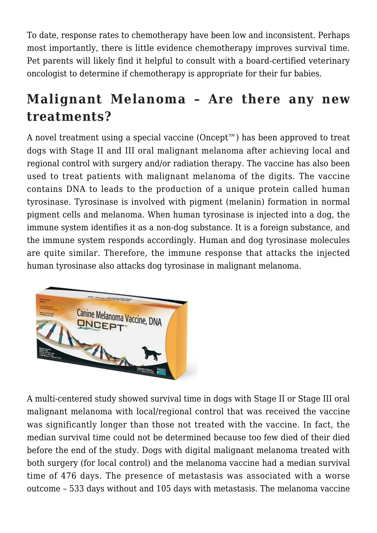To date, response rates to chemotherapy have been low and inconsistent. Perhaps most importantly, there is little evidence chemotherapy improves survival time. Pet parents will likely find it helpful to consult with a board-certified veterinary oncologist to determine if chemotherapy is appropriate for their fur babies.

## **Malignant Melanoma – Are there any new treatments?**

A novel treatment using a special vaccine (Oncept™) has been approved to treat dogs with Stage II and III oral malignant melanoma after achieving local and regional control with surgery and/or radiation therapy. The vaccine has also been used to treat patients with malignant melanoma of the digits. The vaccine contains DNA to leads to the production of a unique protein called human tyrosinase. Tyrosinase is involved with pigment (melanin) formation in normal pigment cells and melanoma. When human tyrosinase is injected into a dog, the immune system identifies it as a non-dog substance. It is a foreign substance, and the immune system responds accordingly. Human and dog tyrosinase molecules are quite similar. Therefore, the immune response that attacks the injected human tyrosinase also attacks dog tyrosinase in malignant melanoma.



A multi-centered study showed survival time in dogs with Stage II or Stage III oral malignant melanoma with local/regional control that was received the vaccine was significantly longer than those not treated with the vaccine. In fact, the median survival time could not be determined because too few died of their died before the end of the study. Dogs with digital malignant melanoma treated with both surgery (for local control) and the melanoma vaccine had a median survival time of 476 days. The presence of metastasis was associated with a worse outcome – 533 days without and 105 days with metastasis. The melanoma vaccine